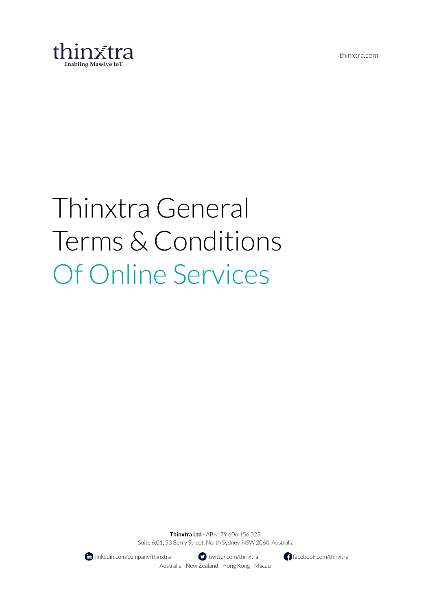thinxtra.com



# Thinxtra General Terms & Conditions Of Online Services

**Thinxtra Ltd** - ABN: 79 606 156 325 Suite 6.01, 53 Berry Street, North Sydney, NSW 2060, Australia



**fo** linkedin.com/company/thinxtra **the set of the set of the facebook.com/thinxtra** facebook.com/thinxtra Australia - New Zealand - Hong Kong - Macau

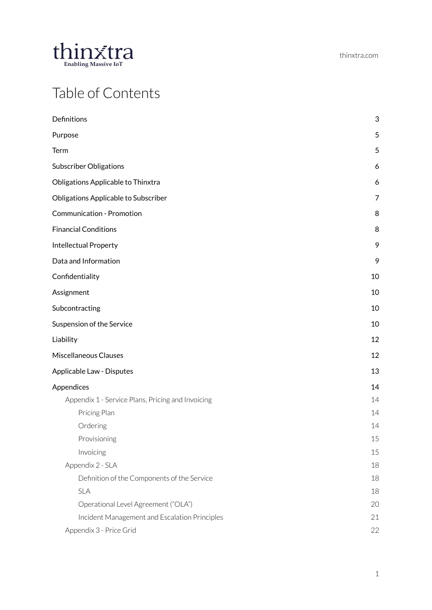

### Table of Contents

| $\mathbf{3}$   |
|----------------|
| 5              |
| 5              |
| 6              |
| 6              |
| $\overline{7}$ |
| 8              |
| 8              |
| 9              |
| 9              |
| 10             |
| 10             |
| 10             |
| 10             |
| 12             |
| 12             |
| 13             |
| 14             |
| 14             |
| 14             |
| 14             |
| 15             |
| 15             |
| 18             |
| 18             |
| 18             |
| 20             |
| 21             |
| 22             |
|                |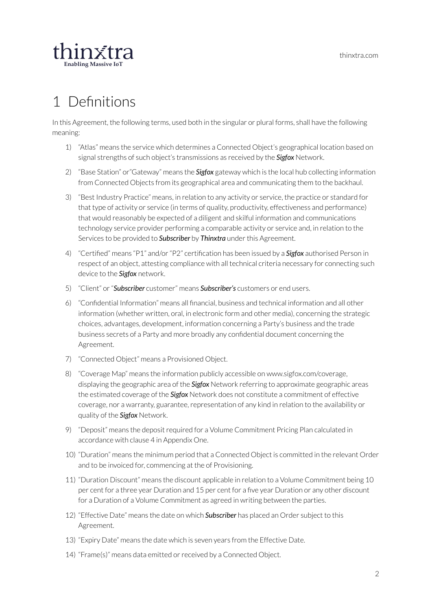

# <span id="page-2-0"></span>1 Definitions

In this Agreement, the following terms, used both in the singular or plural forms, shall have the following meaning:

- 1) "Atlas" means the service which determines a Connected Object's geographical location based on signal strengths of such object's transmissions as received by the *Sigfox* Network.
- 2) "Base Station" or"Gateway" means the *Sigfox* gateway which is the local hub collecting information from Connected Objects from its geographical area and communicating them to the backhaul.
- 3) "Best Industry Practice" means, in relation to any activity or service, the practice or standard for that type of activity or service (in terms of quality, productivity, effectiveness and performance) that would reasonably be expected of a diligent and skilful information and communications technology service provider performing a comparable activity or service and, in relation to the Services to be provided to **Subscriber** by **Thinxtra** under this Agreement.
- 4) "Certified" means "P1" and/or"P2" certification has been issued by a *Sigfox* authorised Person in respect of an object, attesting compliance with all technical criteria necessary for connecting such device to the *Sigfox* network.
- 5) "Client" or"*Subscriber* customer" means *Subscriber's* customers or end users.
- 6) "Confidential Information" means all financial, business and technical information and all other information (whether written, oral, in electronic form and other media), concerning the strategic choices, advantages, development, information concerning a Party's business and the trade business secrets of a Party and more broadly any confidential document concerning the Agreement.
- 7) "Connected Object" means a Provisioned Object.
- 8) "Coverage Map" means the information publicly accessible on www.sigfox.com/coverage, displaying the geographic area of the *Sigfox* Network referring to approximate geographic areas the estimated coverage of the *Sigfox* Network does not constitute a commitment of effective coverage, nor a warranty, guarantee, representation of any kind in relation to the availability or quality of the *Sigfox* Network.
- 9) "Deposit" means the deposit required for a Volume Commitment Pricing Plan calculated in accordance with clause 4 in Appendix One.
- 10) "Duration" means the minimum period that a Connected Object is committed in the relevant Order and to be invoiced for, commencing at the of Provisioning.
- 11) "Duration Discount" means the discount applicable in relation to a Volume Commitment being 10 per cent for a three year Duration and 15 per cent for a five year Duration or any other discount for a Duration of a Volume Commitment as agreed in writing between the parties.
- 12) "Effective Date" means the date on which *Subscriber* has placed an Order subject to this Agreement.
- 13) "Expiry Date" means the date which is seven years from the Effective Date.
- 14) "Frame(s)" means data emitted or received by a Connected Object.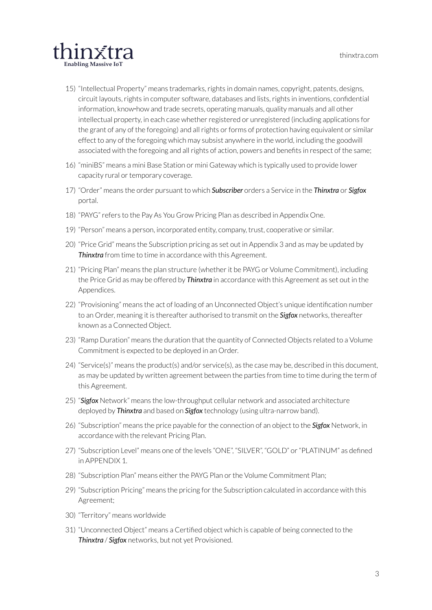

- 15) "Intellectual Property" means trademarks,rights in domain names, copyright, patents, designs, circuit layouts, rights in computer software, databases and lists, rights in inventions, confidential information, know‑how and trade secrets, operating manuals, quality manuals and all other intellectual property, in each case whether registered or unregistered (including applications for the grant of any of the foregoing) and all rights or forms of protection having equivalent or similar effect to any of the foregoing which may subsist anywhere in the world, including the goodwill associated with the foregoing and all rights of action, powers and benefits in respect of the same;
- 16) "miniBS" means a mini Base Station or mini Gateway which is typically used to provide lower capacity rural or temporary coverage.
- 17) "Order" means the order pursuant to which *Subscriber* orders a Service in the *Thinxtra* or *Sigfox* portal.
- 18) "PAYG"refers to the Pay As You Grow Pricing Plan as described in Appendix One.
- 19) "Person" means a person, incorporated entity, company, trust, cooperative or similar.
- 20) "Price Grid" means the Subscription pricing as set out in Appendix 3 and as may be updated by *Thinxtra* from time to time in accordance with this Agreement.
- 21) "Pricing Plan" means the plan structure (whetherit be PAYG or Volume Commitment), including the Price Grid as may be offered by *Thinxtra* in accordance with this Agreement as set out in the Appendices.
- 22) "Provisioning" means the act of loading of an Unconnected Object's unique identification number to an Order, meaning it is thereafter authorised to transmit on the *Sigfox* networks, thereafter known as a Connected Object.
- 23) "Ramp Duration" means the duration that the quantity of Connected Objects related to a Volume Commitment is expected to be deployed in an Order.
- 24) "Service(s)" means the product(s) and/or service(s), as the case may be, described in this document, as may be updated by written agreement between the parties from time to time during the term of this Agreement.
- 25) "*Sigfox* Network" means the low-throughput cellular network and associated architecture deployed by *Thinxtra* and based on *Sigfox* technology (using ultra-narrow band).
- 26) "Subscription" means the price payable forthe connection of an object to the *Sigfox* Network, in accordance with the relevant Pricing Plan.
- 27) "Subscription Level" means one of the levels "ONE", "SILVER", "GOLD" or "PLATINUM" as defined in APPENDIX 1.
- 28) "Subscription Plan" means either the PAYG Plan or the Volume Commitment Plan;
- 29) "Subscription Pricing" means the pricing forthe Subscription calculated in accordance with this Agreement;
- 30) "Territory" means worldwide
- 31) "Unconnected Object" means a Certified object which is capable of being connected to the *Thinxtra* / *Sigfox* networks, but not yet Provisioned.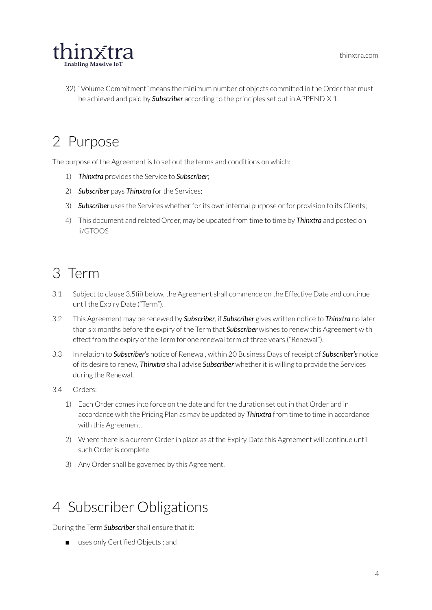

32) "Volume Commitment" means the minimum number of objects committed in the Order that must be achieved and paid by *Subscriber* according to the principles set out in APPENDIX 1.

## <span id="page-4-0"></span>2 Purpose

The purpose of the Agreement is to set out the terms and conditions on which:

- 1) *Thinxtra* provides the Service to *Subscriber*;
- 2) **Subscriber** pays **Thinxtra** for the Services;
- 3) **Subscriber** uses the Services whether for its own internal purpose or for provision to its Clients;
- 4) This document and related Order, may be updated from time to time by *Thinxtra* and posted on li/GTOOS

### <span id="page-4-1"></span>3 Term

- 3.1 Subject to clause 3.5(ii) below, the Agreement shall commence on the Effective Date and continue until the Expiry Date ("Term").
- 3.2 This Agreement may be renewed by *Subscriber*, if *Subscriber* gives written notice to *Thinxtra* no later than six months before the expiry of the Term that *Subscriber* wishes to renew this Agreement with effect from the expiry of the Term for one renewal term of three years ("Renewal").
- 3.3 In relation to *Subscriber's* notice of Renewal, within 20 Business Days ofreceipt of *Subscriber's* notice of its desire to renew, *Thinxtra* shall advise *Subscriber* whetherit is willing to provide the Services during the Renewal.
- 3.4 Orders:
	- 1) Each Order comes into force on the date and forthe duration set out in that Order and in accordance with the Pricing Plan as may be updated by *Thinxtra* from time to time in accordance with this Agreement.
	- 2) Where there is a current Order in place as at the Expiry Date this Agreement will continue until such Order is complete.
	- 3) Any Order shall be governed by this Agreement.

### <span id="page-4-2"></span>4 Subscriber Obligations

During the Term *Subscriber* shall ensure that it:

■ uses only Certified Objects; and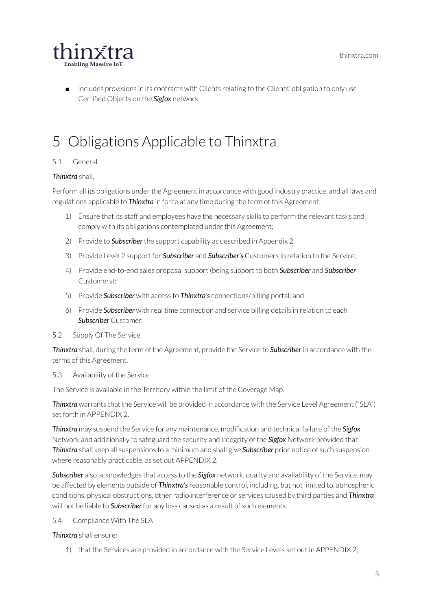thinxtra.com



includes provisions in its contracts with Clients relating to the Clients' obligation to only use Certified Objects on the *Sigfox* network.

## <span id="page-5-0"></span>5 Obligations Applicable to Thinxtra

#### 5.1 General

#### *Thinxtra* shall,

Perform all its obligations under the Agreement in accordance with good industry practice, and all laws and regulations applicable to *Thinxtra* in force at any time during the term of this Agreement;

- 1) Ensure that its staff and employees have the necessary skills to perform the relevant tasks and comply with its obligations contemplated under this Agreement;
- 2) Provide to *Subscriber* the support capability as described in Appendix 2.
- 3) Provide Level 2 support for *Subscriber* and *Subscriber's* Customers in relation to the Service;
- 4) Provide end-to-end sales proposal support (being support to both *Subscriber* and *Subscriber* Customers);
- 5) Provide *Subscriber* with access to *Thinxtra's* connections/billing portal; and
- 6) Provide *Subscriber* with real time connection and service billing details in relation to each *Subscriber* Customer.
- 5.2 Supply Of The Service

*Thinxtra* shall, during the term of the Agreement, provide the Service to *Subscriber* in accordance with the terms of this Agreement.

#### 5.3 Availability of the Service

The Service is available in the Territory within the limit of the Coverage Map.

*Thinxtra* warrants that the Service will be provided in accordance with the Service Level Agreement ("SLA") set forth in APPENDIX 2.

*Thinxtra* may suspend the Service for any maintenance, modification and technical failure of the *Sigfox* Network and additionally to safeguard the security and integrity of the *Sigfox* Network provided that *Thinxtra* shall keep all suspensions to a minimum and shall give *Subscriber* prior notice of such suspension where reasonably practicable, as set out APPENDIX 2.

*Subscriber* also acknowledges that access to the *Sigfox* network, quality and availability of the Service, may be affected by elements outside of *Thinxtra's*reasonable control, including, but not limited to, atmospheric conditions, physical obstructions, otherradio interference or services caused by third parties and *Thinxtra* will not be liable to *Subscriber* for any loss caused as a result of such elements.

5.4 Compliance With The SLA

#### *Thinxtra* shall ensure:

1) that the Services are provided in accordance with the Service Levels set out in APPENDIX 2;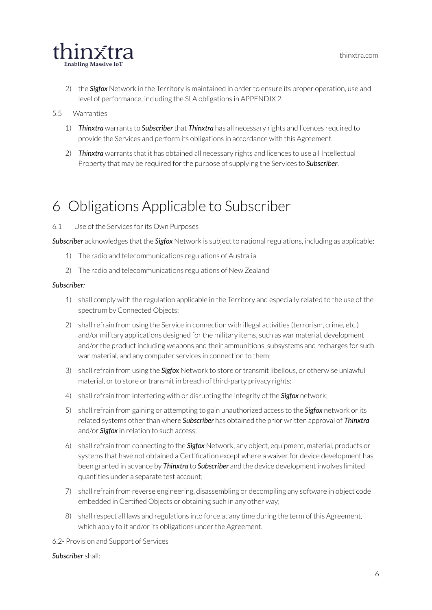

- 2) the **Sigfox** Network in the Territory is maintained in order to ensure its proper operation, use and level of performance, including the SLA obligations in APPENDIX 2.
- 5.5 Warranties
	- 1) *Thinxtra* warrants to *Subscriber* that *Thinxtra* has all necessary rights and licences required to provide the Services and perform its obligations in accordance with this Agreement.
	- 2) *Thinxtra* warrants that it has obtained all necessary rights and licences to use all Intellectual Property that may be required forthe purpose of supplying the Services to *Subscriber*.

### <span id="page-6-0"></span>6 Obligations Applicable to Subscriber

6.1 Use of the Services forits Own Purposes

*Subscriber* acknowledges that the *Sigfox* Network is subject to nationalregulations, including as applicable:

- 1) The radio and telecommunications regulations of Australia
- 2) The radio and telecommunications regulations of New Zealand

#### *Subscriber:*

- 1) shall comply with the regulation applicable in the Territory and especially related to the use of the spectrum by Connected Objects;
- 2) shall refrain from using the Service in connection with illegal activities (terrorism, crime, etc.) and/or military applications designed forthe military items, such as war material, development and/or the product including weapons and their ammunitions, subsystems and recharges for such war material, and any computer services in connection to them;
- 3) shallrefrain from using the *Sigfox* Network to store ortransmit libellous, or otherwise unlawful material, or to store or transmit in breach of third-party privacy rights;
- 4) shallrefrain from interfering with or disrupting the integrity of the *Sigfox* network;
- 5) shallrefrain from gaining or attempting to gain unauthorized access to the *Sigfox* network orits related systems other than where **Subscriber** has obtained the prior written approval of **Thinxtra** and/or *Sigfox* in relation to such access;
- 6) shallrefrain from connecting to the *Sigfox* Network, any object, equipment, material, products or systems that have not obtained a Certification except where a waiver for device development has been granted in advance by *Thinxtra* to *Subscriber* and the device development involves limited quantities under a separate test account;
- 7) shallrefrain from reverse engineering, disassembling or decompiling any software in object code embedded in Certified Objects or obtaining such in any other way;
- 8) shallrespect all laws and regulations into force at any time during the term of this Agreement, which apply to it and/or its obligations under the Agreement.
- 6.2- Provision and Support of Services

#### *Subscriber* shall: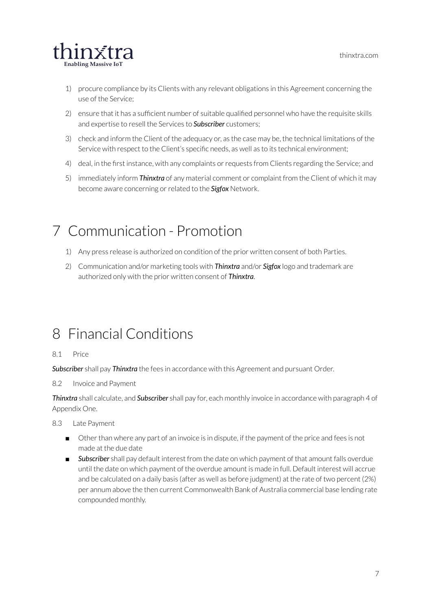

- 1) procure compliance by its Clients with any relevant obligations in this Agreement concerning the use of the Service;
- 2) ensure that it has a sufficient number of suitable qualified personnel who have the requisite skills and expertise to resell the Services to *Subscriber* customers;
- 3) check and inform the Client of the adequacy or, as the case may be, the technical limitations of the Service with respect to the Client's specific needs, as well as to its technical environment;
- 4) deal, in the first instance, with any complaints or requests from Clients regarding the Service; and
- 5) immediately inform *Thinxtra* of any material comment or complaint from the Client of which it may become aware concerning or related to the **Sigfox** Network.

### <span id="page-7-0"></span>7 Communication - Promotion

- 1) Any press release is authorized on condition of the prior written consent of both Parties.
- 2) Communication and/or marketing tools with *Thinxtra* and/or *Sigfox* logo and trademark are authorized only with the prior written consent of *Thinxtra*.

### <span id="page-7-1"></span>8 Financial Conditions

#### 8.1 Price

*Subscriber* shall pay *Thinxtra* the fees in accordance with this Agreement and pursuant Order.

8.2 Invoice and Payment

*Thinxtra* shall calculate, and *Subscriber* shall pay for, each monthly invoice in accordance with paragraph 4 of Appendix One.

- 8.3 Late Payment
	- Other than where any part of an invoice is in dispute, if the payment of the price and fees is not made at the due date
	- *Subscriber* shall pay default interest from the date on which payment of that amount falls overdue until the date on which payment of the overdue amount is made in full. Default interest will accrue and be calculated on a daily basis (after as well as before judgment) at the rate of two percent (2%) per annum above the then current Commonwealth Bank of Australia commercial base lending rate compounded monthly.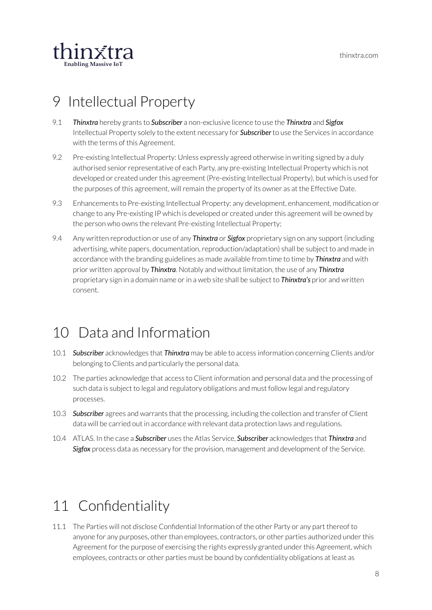

### <span id="page-8-0"></span>9 Intellectual Property

- 9.1 *Thinxtra* hereby grants to *Subscriber* a non-exclusive licence to use the *Thinxtra* and *Sigfox* Intellectual Property solely to the extent necessary for *Subscriber* to use the Services in accordance with the terms of this Agreement.
- 9.2 Pre-existing Intellectual Property: Unless expressly agreed otherwise in writing signed by a duly authorised senior representative of each Party, any pre-existing Intellectual Property which is not developed or created under this agreement (Pre-existing Intellectual Property), but which is used for the purposes of this agreement, will remain the property of its owner as at the Effective Date.
- 9.3 Enhancements to Pre-existing Intellectual Property: any development, enhancement, modification or change to any Pre-existing IP which is developed or created under this agreement will be owned by the person who owns the relevant Pre-existing Intellectual Property;
- 9.4 Any written reproduction or use of any *Thinxtra* or *Sigfox* proprietary sign on any support (including advertising, white papers, documentation, reproduction/adaptation) shall be subject to and made in accordance with the branding guidelines as made available from time to time by *Thinxtra* and with prior written approval by *Thinxtra*. Notably and without limitation, the use of any *Thinxtra* proprietary sign in a domain name orin a web site shall be subject to *Thinxtra's* prior and written consent.

### <span id="page-8-1"></span>10 Data and Information

- 10.1 *Subscriber* acknowledges that *Thinxtra* may be able to access information concerning Clients and/or belonging to Clients and particularly the personal data.
- 10.2 The parties acknowledge that access to Client information and personal data and the processing of such data is subject to legal and regulatory obligations and must follow legal and regulatory processes.
- 10.3 *Subscriber* agrees and warrants that the processing, including the collection and transfer of Client data will be carried out in accordance with relevant data protection laws and regulations.
- 10.4 ATLAS. In the case a *Subscriber* uses the Atlas Service, *Subscriber* acknowledges that *Thinxtra* and **Sigfox** process data as necessary for the provision, management and development of the Service.

### <span id="page-8-2"></span>11 Confidentiality

11.1 The Parties will not disclose Confidential Information of the other Party or any part thereof to anyone for any purposes, other than employees, contractors, or other parties authorized under this Agreement for the purpose of exercising the rights expressly granted under this Agreement, which employees, contracts or other parties must be bound by confidentiality obligations at least as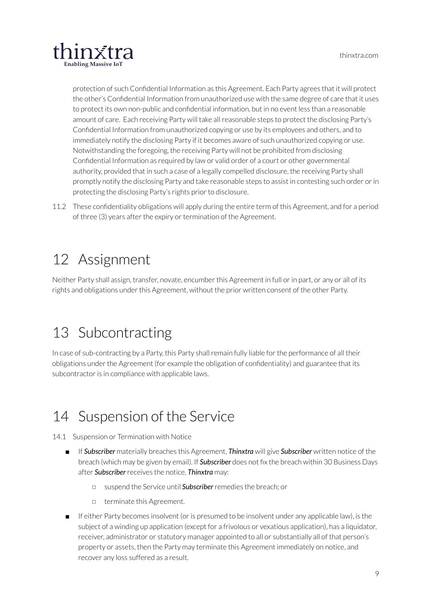

protection of such Confidential Information as this Agreement. Each Party agrees that it will protect the other's Confidential Information from unauthorized use with the same degree of care that it uses to protect its own non-public and confidential information, but in no event less than a reasonable amount of care. Each receiving Party will take allreasonable steps to protect the disclosing Party's Confidential Information from unauthorized copying or use by its employees and others, and to immediately notify the disclosing Party if it becomes aware of such unauthorized copying or use. Notwithstanding the foregoing, the receiving Party will not be prohibited from disclosing Confidential Information as required by law or valid order of a court or other governmental authority, provided that in such a case of a legally compelled disclosure, the receiving Party shall promptly notify the disclosing Party and take reasonable steps to assist in contesting such order orin protecting the disclosing Party's rights prior to disclosure.

11.2 These confidentiality obligations will apply during the entire term of this Agreement, and for a period of three (3) years after the expiry or termination of the Agreement.

### <span id="page-9-0"></span>12 Assignment

Neither Party shall assign, transfer, novate, encumber this Agreement in full or in part, or any or all of its rights and obligations under this Agreement, without the prior written consent of the other Party.

### <span id="page-9-1"></span>13 Subcontracting

In case of sub-contracting by a Party, this Party shall remain fully liable for the performance of all their obligations underthe Agreement (for example the obligation of confidentiality) and guarantee that its subcontractor is in compliance with applicable laws.

### <span id="page-9-2"></span>14 Suspension of the Service

14.1 Suspension or Termination with Notice

- If *Subscriber* materially breaches this Agreement, *Thinxtra* will give *Subscriber* written notice of the breach (which may be given by email). If *Subscriber* does not fix the breach within 30 Business Days after *Subscriber*receives the notice, *Thinxtra* may:
	- ◻ suspend the Service until *Subscriber*remedies the breach; or
	- ◻ terminate this Agreement.
- If either Party becomes insolvent (or is presumed to be insolvent under any applicable law), is the subject of a winding up application (except for a frivolous or vexatious application), has a liquidator, receiver, administrator or statutory manager appointed to all or substantially all of that person's property or assets, then the Party may terminate this Agreement immediately on notice, and recover any loss suffered as a result.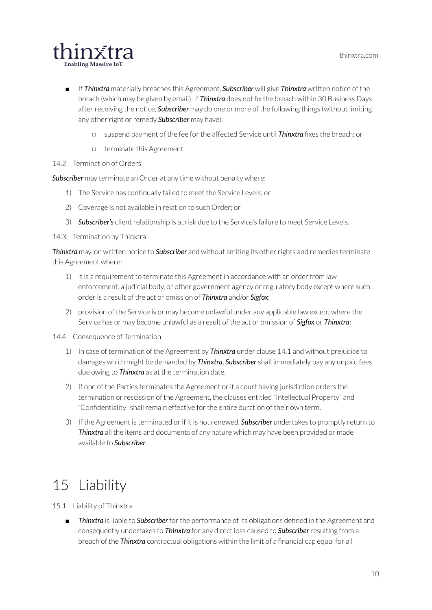

- If *Thinxtra* materially breaches this Agreement, *Subscriber* will give *Thinxtra* written notice of the breach (which may be given by email). If *Thinxtra* does not fix the breach within 30 Business Days after receiving the notice, **Subscriber** may do one or more of the following things (without limiting any other right or remedy **Subscriber** may have):
	- ◻ suspend payment of the fee forthe affected Service until *Thinxtra* fixes the breach; or
	- ◻ terminate this Agreement.
- 14.2 Termination of Orders

*Subscriber* may terminate an Order at any time without penalty where:

- 1) The Service has continually failed to meet the Service Levels; or
- 2) Coverage is not available in relation to such Order; or
- 3) **Subscriber's** client relationship is at risk due to the Service's failure to meet Service Levels.

14.3 Termination by Thinxtra

*Thinxtra* may, on written notice to **Subscriber** and without limiting its other rights and remedies terminate this Agreement where:

- 1) it is a requirement to terminate this Agreement in accordance with an order from law enforcement, a judicial body, or other government agency or regulatory body except where such orderis a result of the act or omission of *Thinxtra* and/or *Sigfox*;
- 2) provision of the Service is or may become unlawful under any applicable law except where the Service has or may become unlawful as a result of the act or omission of *Sigfox* or *Thinxtra*;

14.4 Consequence of Termination

- 1) In case of termination of the Agreement by *Thinxtra* under clause 14.1 and without prejudice to damages which might be demanded by *Thinxtra*, *Subscriber* shall immediately pay any unpaid fees due owing to *Thinxtra* as at the termination date.
- 2) If one of the Parties terminates the Agreement orif a court having jurisdiction orders the termination or rescission of the Agreement, the clauses entitled "Intellectual Property" and "Confidentiality" shall remain effective for the entire duration of their own term.
- 3) If the Agreement is terminated or if it is not renewed, **Subscriber** undertakes to promptly return to *Thinxtra* all the items and documents of any nature which may have been provided or made available to *Subscriber*.

### <span id="page-10-0"></span>15 Liability

15.1 Liability of Thinxtra

**Thinxtra** is liable to **Subscriber** for the performance of its obligations defined in the Agreement and consequently undertakes to *Thinxtra* for any direct loss caused to *Subscriber*resulting from a breach of the *Thinxtra* contractual obligations within the limit of a financial cap equal for all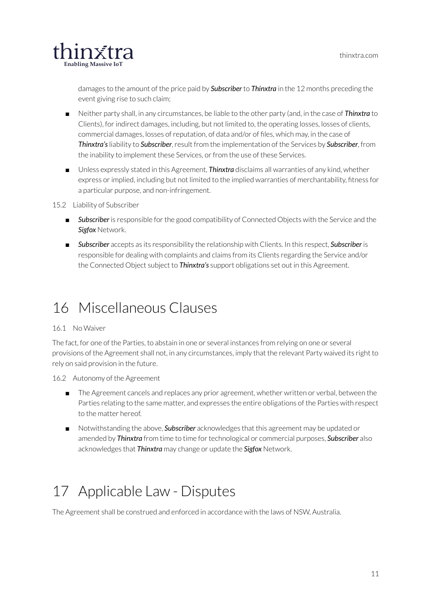

damages to the amount of the price paid by *Subscriber* to *Thinxtra* in the 12 months preceding the event giving rise to such claim;

- Neither party shall, in any circumstances, be liable to the other party (and, in the case of **Thinxtra** to Clients), for indirect damages, including, but not limited to, the operating losses, losses of clients, commercial damages, losses ofreputation, of data and/or of files, which may, in the case of **Thinxtra's** liability to *Subscriber*, result from the implementation of the Services by *Subscriber*, from the inability to implement these Services, or from the use of these Services.
- Unless expressly stated in this Agreement, *Thinxtra* disclaims all warranties of any kind, whether express orimplied, including but not limited to the implied warranties of merchantability, fitness for a particular purpose, and non-infringement.

#### 15.2 Liability of Subscriber

- **Subscriber** is responsible for the good compatibility of Connected Objects with the Service and the *Sigfox* Network.
- *Subscriber* accepts as its responsibility the relationship with Clients. In this respect, *Subscriber* is responsible for dealing with complaints and claims from its Clients regarding the Service and/or the Connected Object subject to *Thinxtra's* support obligations set out in this Agreement.

### <span id="page-11-0"></span>16 Miscellaneous Clauses

#### 16.1 No Waiver

The fact, for one of the Parties, to abstain in one or several instances from relying on one or several provisions of the Agreement shall not, in any circumstances, imply that the relevant Party waived its right to rely on said provision in the future.

#### 16.2 Autonomy of the Agreement

- The Agreement cancels and replaces any prior agreement, whether written or verbal, between the Parties relating to the same matter, and expresses the entire obligations of the Parties with respect to the matter hereof.
- Notwithstanding the above, **Subscriber** acknowledges that this agreement may be updated or amended by **Thinxtra** from time to time for technological or commercial purposes, **Subscriber** also acknowledges that *Thinxtra* may change or update the *Sigfox* Network.

# <span id="page-11-1"></span>17 Applicable Law - Disputes

The Agreement shall be construed and enforced in accordance with the laws of NSW, Australia.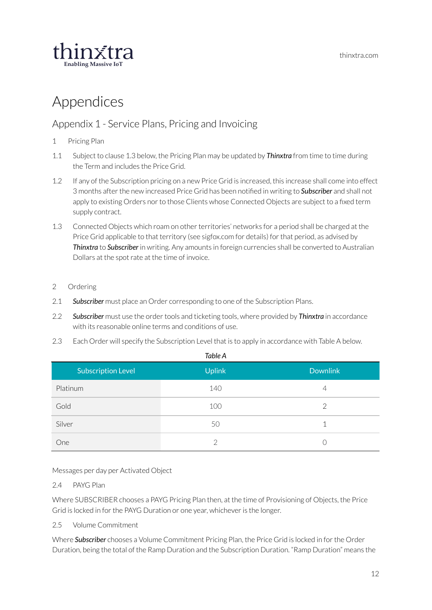

### <span id="page-12-0"></span>Appendices

#### <span id="page-12-1"></span>Appendix 1 - Service Plans, Pricing and Invoicing

- <span id="page-12-2"></span>1 Pricing Plan
- 1.1 Subject to clause 1.3 below, the Pricing Plan may be updated by *Thinxtra* from time to time during the Term and includes the Price Grid.
- 1.2 If any of the Subscription pricing on a new Price Grid is increased, this increase shall come into effect 3 months after the new increased Price Grid has been notified in writing to **Subscriber** and shall not apply to existing Orders nor to those Clients whose Connected Objects are subject to a fixed term supply contract.
- 1.3 Connected Objects which roam on other territories' networks for a period shall be charged at the Price Grid applicable to that territory (see sigfox.com for details) forthat period, as advised by *Thinxtra* to *Subscriber* in writing. Any amounts in foreign currencies shall be converted to Australian Dollars at the spotrate at the time of invoice.
- <span id="page-12-3"></span>2 Ordering
- 2.1 *Subscriber* must place an Order corresponding to one of the Subscription Plans.
- 2.2 **Subscriber** must use the order tools and ticketing tools, where provided by **Thinxtra** in accordance with its reasonable online terms and conditions of use.
- 2.3 Each Order will specify the Subscription Level that is to apply in accordance with Table A below.

| Table A                   |               |                 |  |  |
|---------------------------|---------------|-----------------|--|--|
| <b>Subscription Level</b> | <b>Uplink</b> | <b>Downlink</b> |  |  |
| Platinum                  | 140           | 4               |  |  |
| Gold                      | 100           | 2               |  |  |
| Silver                    | 50            | 1               |  |  |
| One                       | ∩             |                 |  |  |

Messages per day per Activated Object

#### 2.4 PAYG Plan

Where SUBSCRIBER chooses a PAYG Pricing Plan then, at the time of Provisioning of Objects, the Price Grid is locked in for the PAYG Duration or one year, whichever is the longer.

2.5 Volume Commitment

Where *Subscriber* chooses a Volume Commitment Pricing Plan, the Price Grid is locked in forthe Order Duration, being the total of the Ramp Duration and the Subscription Duration. "Ramp Duration" means the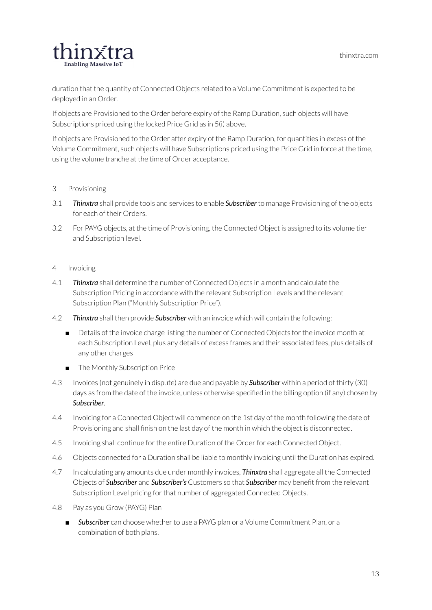

duration that the quantity of Connected Objects related to a Volume Commitment is expected to be deployed in an Order.

If objects are Provisioned to the Order before expiry of the Ramp Duration, such objects will have Subscriptions priced using the locked Price Grid as in 5(i) above.

If objects are Provisioned to the Order after expiry of the Ramp Duration, for quantities in excess of the Volume Commitment, such objects will have Subscriptions priced using the Price Grid in force at the time, using the volume tranche at the time of Order acceptance.

#### <span id="page-13-0"></span>3 Provisioning

- 3.1 *Thinxtra* shall provide tools and services to enable *Subscriber* to manage Provisioning of the objects for each of their Orders.
- 3.2 For PAYG objects, at the time of Provisioning, the Connected Object is assigned to its volume tier and Subscription level.

#### <span id="page-13-1"></span>4 Invoicing

- 4.1 *Thinxtra* shall determine the number of Connected Objects in a month and calculate the Subscription Pricing in accordance with the relevant Subscription Levels and the relevant Subscription Plan ("Monthly Subscription Price").
- 4.2 *Thinxtra* shall then provide *Subscriber* with an invoice which will contain the following:
	- Details of the invoice charge listing the number of Connected Objects for the invoice month at each Subscription Level, plus any details of excess frames and their associated fees, plus details of any other charges
	- The Monthly Subscription Price
- 4.3 Invoices (not genuinely in dispute) are due and payable by *Subscriber* within a period of thirty (30) days as from the date of the invoice, unless otherwise specified in the billing option (if any) chosen by *Subscriber*.
- 4.4 Invoicing for a Connected Object will commence on the 1st day of the month following the date of Provisioning and shall finish on the last day of the month in which the object is disconnected.
- 4.5 Invoicing shall continue for the entire Duration of the Order for each Connected Object.
- 4.6 Objects connected for a Duration shall be liable to monthly invoicing until the Duration has expired.
- 4.7 In calculating any amounts due under monthly invoices, *Thinxtra* shall aggregate all the Connected Objects of *Subscriber* and *Subscriber's* Customers so that *Subscriber* may benefit from the relevant Subscription Level pricing for that number of aggregated Connected Objects.
- 4.8 Pay as you Grow (PAYG) Plan
	- **Bubscriber** can choose whether to use a PAYG plan or a Volume Commitment Plan, or a combination of both plans.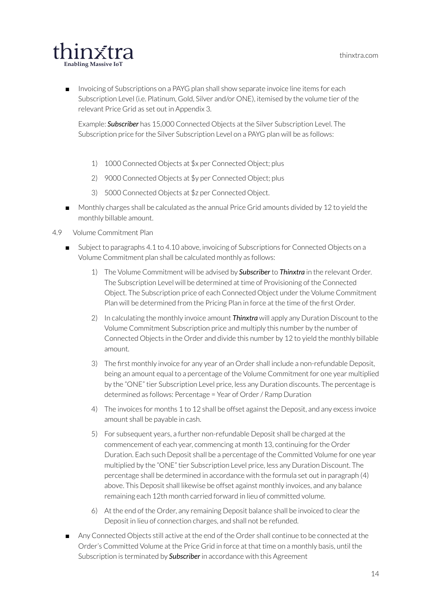

■ Invoicing of Subscriptions on a PAYG plan shall show separate invoice line items for each Subscription Level (i.e. Platinum, Gold, Silver and/or ONE), itemised by the volume tier of the relevant Price Grid as set out in Appendix 3.

Example: *Subscriber* has 15,000 Connected Objects at the Silver Subscription Level. The Subscription price for the Silver Subscription Level on a PAYG plan will be as follows:

- 1) 1000 Connected Objects at \$x per Connected Object; plus
- 2) 9000 Connected Objects at \$y per Connected Object; plus
- 3) 5000 Connected Objects at \$z per Connected Object.
- Monthly charges shall be calculated as the annual Price Grid amounts divided by 12 to yield the monthly billable amount.
- 4.9 Volume Commitment Plan
	- Subject to paragraphs 4.1 to 4.10 above, invoicing of Subscriptions for Connected Objects on a Volume Commitment plan shall be calculated monthly as follows:
		- 1) The Volume Commitment will be advised by *Subscriber* to *Thinxtra* in the relevant Order. The Subscription Level will be determined at time of Provisioning of the Connected Object. The Subscription price of each Connected Object underthe Volume Commitment Plan will be determined from the Pricing Plan in force at the time of the first Order.
		- 2) In calculating the monthly invoice amount *Thinxtra* will apply any Duration Discount to the Volume Commitment Subscription price and multiply this number by the number of Connected Objects in the Order and divide this number by 12 to yield the monthly billable amount.
		- 3) The first monthly invoice for any year of an Order shall include a non-refundable Deposit, being an amount equal to a percentage of the Volume Commitment for one year multiplied by the "ONE" tier Subscription Level price, less any Duration discounts. The percentage is determined as follows: Percentage = Year of Order/ Ramp Duration
		- 4) The invoices for months 1 to 12 shall be offset against the Deposit, and any excess invoice amount shall be payable in cash.
		- 5) For subsequent years, a further non-refundable Deposit shall be charged at the commencement of each year, commencing at month 13, continuing for the Order Duration. Each such Deposit shall be a percentage of the Committed Volume for one year multiplied by the "ONE" tier Subscription Level price, less any Duration Discount. The percentage shall be determined in accordance with the formula set out in paragraph (4) above. This Deposit shall likewise be offset against monthly invoices, and any balance remaining each 12th month carried forward in lieu of committed volume.
		- 6) At the end of the Order, any remaining Deposit balance shall be invoiced to clear the Deposit in lieu of connection charges, and shall not be refunded.
	- Any Connected Objects still active at the end of the Order shall continue to be connected at the Order's Committed Volume at the Price Grid in force at that time on a monthly basis, until the Subscription is terminated by *Subscriber* in accordance with this Agreement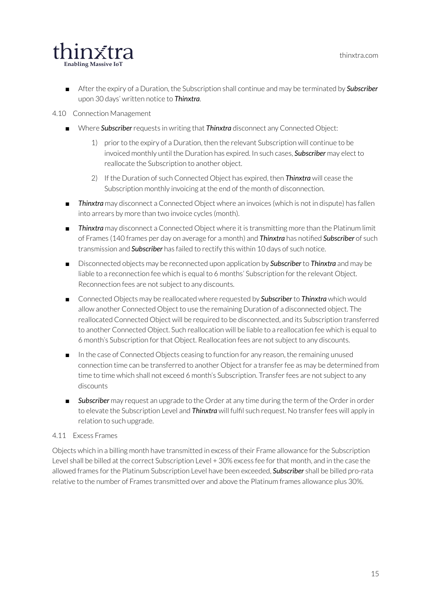

■ After the expiry of a Duration, the Subscription shall continue and may be terminated by **Subscriber** upon 30 days' written notice to *Thinxtra*.

#### 4.10 Connection Management

- Where **Subscriber** requests in writing that *Thinxtra* disconnect any Connected Object:
	- 1) prior to the expiry of a Duration, then the relevant Subscription will continue to be invoiced monthly until the Duration has expired. In such cases, *Subscriber* may elect to reallocate the Subscription to another object.
	- 2) If the Duration of such Connected Object has expired, then *Thinxtra* will cease the Subscription monthly invoicing at the end of the month of disconnection.
- *Thinxtra* may disconnect a Connected Object where an invoices (which is not in dispute) has fallen into arrears by more than two invoice cycles (month).
- *Thinxtra* may disconnect a Connected Object where it is transmitting more than the Platinum limit of Frames (140 frames per day on average for a month) and *Thinxtra* has notified *Subscriber* of such transmission and *Subscriber* has failed to rectify this within 10 days of such notice.
- Disconnected objects may be reconnected upon application by **Subscriber** to **Thinxtra** and may be liable to a reconnection fee which is equal to 6 months' Subscription forthe relevant Object. Reconnection fees are not subject to any discounts.
- Connected Objects may be reallocated where requested by **Subscriber** to **Thinxtra** which would allow another Connected Object to use the remaining Duration of a disconnected object. The reallocated Connected Object will be required to be disconnected, and its Subscription transferred to another Connected Object. Such reallocation will be liable to a reallocation fee which is equal to 6 month's Subscription for that Object. Reallocation fees are not subject to any discounts.
- In the case of Connected Objects ceasing to function for any reason, the remaining unused connection time can be transferred to another Object for a transferfee as may be determined from time to time which shall not exceed 6 month's Subscription. Transfer fees are not subject to any discounts
- **Subscriber** may request an upgrade to the Order at any time during the term of the Order in order to elevate the Subscription Level and *Thinxtra* will fulfil such request. No transferfees will apply in relation to such upgrade.

#### 4.11 Excess Frames

Objects which in a billing month have transmitted in excess of their Frame allowance forthe Subscription Level shall be billed at the correct Subscription Level + 30% excess fee for that month, and in the case the allowed frames forthe Platinum Subscription Level have been exceeded, *Subscriber* shall be billed pro-rata relative to the number of Frames transmitted over and above the Platinum frames allowance plus 30%.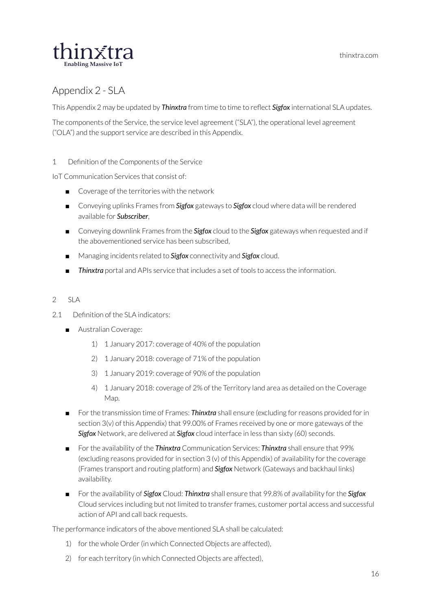thinxtra.com



#### <span id="page-16-0"></span>Appendix 2 - SLA

This Appendix 2 may be updated by *Thinxtra* from time to time to reflect *Sigfox* international SLA updates.

The components of the Service, the service level agreement ("SLA"), the operational level agreement ("OLA") and the support service are described in this Appendix.

<span id="page-16-1"></span>1 Definition of the Components of the Service

IoT Communication Services that consist of:

- Coverage of the territories with the network
- Conveying uplinks Frames from **Sigfox** gateways to **Sigfox** cloud where data will be rendered available for *Subscriber*,
- Conveying downlink Frames from the **Sigfox** cloud to the **Sigfox** gateways when requested and if the abovementioned service has been subscribed,
- Managing incidents related to **Sigfox** connectivity and **Sigfox** cloud.
- *Thinxtra* portal and APIs service that includes a set of tools to access the information.

#### <span id="page-16-2"></span>2 SLA

- 2.1 Definition of the SLA indicators:
	- Australian Coverage:
		- 1) 1 January 2017: coverage of 40% of the population
		- 2) 1 January 2018: coverage of 71% of the population
		- 3) 1 January 2019: coverage of 90% of the population
		- 4) 1 January 2018: coverage of 2% of the Territory land area as detailed on the Coverage Map.
	- For the transmission time of Frames: **Thinxtra** shall ensure (excluding for reasons provided for in section 3(v) of this Appendix) that 99.00% of Frames received by one or more gateways of the *Sigfox* Network, are delivered at *Sigfox* cloud interface in less than sixty (60) seconds.
	- Forthe availability of the *Thinxtra* Communication Services: *Thinxtra* shall ensure that 99% (excluding reasons provided for in section 3 (v) of this Appendix) of availability for the coverage (Frames transport and routing platform) and *Sigfox* Network (Gateways and backhaul links) availability.
	- Forthe availability of *Sigfox* Cloud: *Thinxtra* shall ensure that 99.8% of availability forthe *Sigfox* Cloud services including but not limited to transferframes, customer portal access and successful action of API and call back requests.

The performance indicators of the above mentioned SLA shall be calculated:

- 1) for the whole Order (in which Connected Objects are affected),
- 2) for each territory (in which Connected Objects are affected),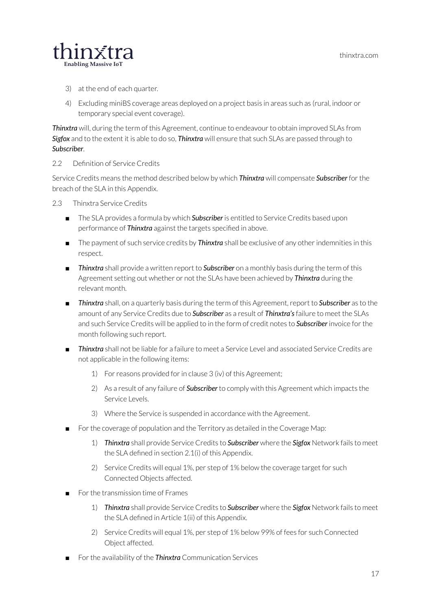

- 3) at the end of each quarter.
- 4) Excluding miniBS coverage areas deployed on a project basis in areas such as (rural, indoor or temporary special event coverage).

**Thinxtra** will, during the term of this Agreement, continue to endeavour to obtain improved SLAs from *Sigfox* and to the extent it is able to do so, *Thinxtra* will ensure that such SLAs are passed through to *Subscriber*.

2.2 Definition of Service Credits

Service Credits means the method described below by which *Thinxtra* will compensate *Subscriber* for the breach of the SLA in this Appendix.

2.3 Thinxtra Service Credits

- The SLA provides a formula by which **Subscriber** is entitled to Service Credits based upon performance of *Thinxtra* against the targets specified in above.
- The payment of such service credits by **Thinxtra** shall be exclusive of any other indemnities in this respect.
- *Thinxtra* shall provide a written report to *Subscriber* on a monthly basis during the term of this Agreement setting out whether or not the SLAs have been achieved by *Thinxtra* during the relevant month.
- *Thinxtra* shall, on a quarterly basis during the term of this Agreement, report to **Subscriber** as to the amount of any Service Credits due to *Subscriber* as a result of *Thinxtra's*failure to meet the SLAs and such Service Credits will be applied to in the form of credit notes to **Subscriber** invoice for the month following such report.
- *Thinxtra* shall not be liable for a failure to meet a Service Level and associated Service Credits are not applicable in the following items:
	- 1) For reasons provided for in clause 3 (iv) of this Agreement;
	- 2) As a result of any failure of *Subscriber* to comply with this Agreement which impacts the Service Levels.
	- 3) Where the Service is suspended in accordance with the Agreement.
- For the coverage of population and the Territory as detailed in the Coverage Map:
	- 1) *Thinxtra* shall provide Service Credits to *Subscriber* where the *Sigfox* Network fails to meet the SLA defined in section 2.1(i) of this Appendix.
	- 2) Service Credits will equal 1%, per step of 1% below the coverage target for such Connected Objects affected.
- For the transmission time of Frames
	- 1) *Thinxtra* shall provide Service Credits to *Subscriber* where the *Sigfox* Network fails to meet the SLA defined in Article 1(ii) of this Appendix.
	- 2) Service Credits will equal 1%, per step of 1% below 99% of fees for such Connected Object affected.
- For the availability of the *Thinxtra* Communication Services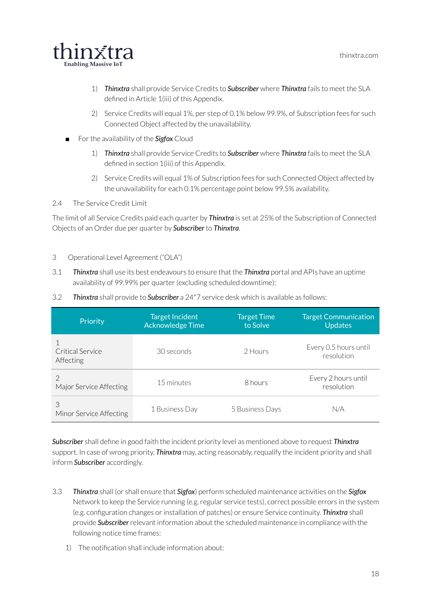

- 1) *Thinxtra* shall provide Service Credits to *Subscriber* where *Thinxtra* fails to meet the SLA defined in Article 1(iii) of this Appendix.
- 2) Service Credits will equal 1%, per step of 0.1% below 99.9%, of Subscription fees for such Connected Object affected by the unavailability.
- For the availability of the **Sigfox** Cloud
	- 1) *Thinxtra* shall provide Service Credits to *Subscriber* where *Thinxtra* fails to meet the SLA defined in section 1(iii) of this Appendix.
	- 2) Service Credits will equal 1% of Subscription fees for such Connected Object affected by the unavailability for each 0.1% percentage point below 99.5% availability.

#### 2.4 The Service Credit Limit

The limit of all Service Credits paid each quarter by *Thinxtra* is set at 25% of the Subscription of Connected Objects of an Order due per quarter by *Subscriber* to *Thinxtra*.

- <span id="page-18-0"></span>3 Operational Level Agreement ("OLA")
- 3.1 *Thinxtra* shall use its best endeavours to ensure that the *Thinxtra* portal and APIs have an uptime availability of 99.99% per quarter (excluding scheduled downtime);
- 3.2 *Thinxtra* shall provide to *Subscriber* a 24\*7 service desk which is available as follows:

| Priority                                 | <b>Target Incident</b><br><b>Acknowledge Time</b> | <b>Target Time</b><br>to Solve | <b>Target Communication</b><br><b>Updates</b> |
|------------------------------------------|---------------------------------------------------|--------------------------------|-----------------------------------------------|
| Critical Service<br>Affecting            | 30 seconds                                        | 2 Hours                        | Every 0.5 hours until<br>resolution           |
| $\mathcal{P}$<br>Major Service Affecting | 15 minutes                                        | 8 hours                        | Every 2 hours until<br>resolution             |
| 3<br>Minor Service Affecting             | 1 Business Day                                    | 5 Business Days                | N/A                                           |

*Subscriber* shall define in good faith the incident priority level as mentioned above to request *Thinxtra* support. In case of wrong priority, *Thinxtra* may, acting reasonably, requalify the incident priority and shall inform *Subscriber* accordingly.

- 3.3 *Thinxtra* shall (or shall ensure that *Sigfox*) perform scheduled maintenance activities on the *Sigfox* Network to keep the Service running (e.g. regular service tests), correct possible errors in the system (e.g. configuration changes orinstallation of patches) or ensure Service continuity. *Thinxtra* shall provide *Subscriber*relevant information about the scheduled maintenance in compliance with the following notice time frames:
	- 1) The notification shall include information about: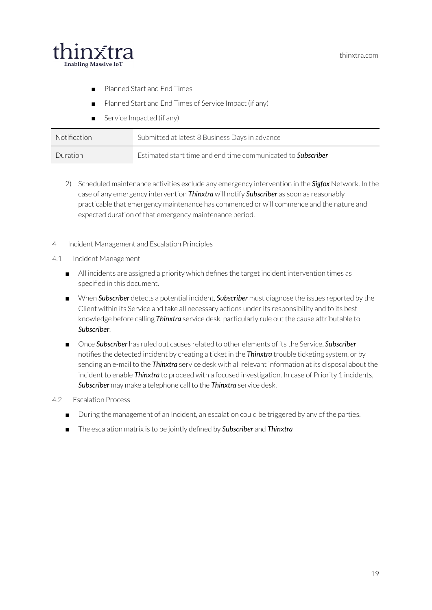

- Planned Start and End Times
- Planned Start and End Times of Service Impact (if any)
- Service Impacted (if any)

| Notification | Submitted at latest 8 Business Days in advance                      |
|--------------|---------------------------------------------------------------------|
| Duration     | Estimated start time and end time communicated to <b>Subscriber</b> |

- 2) Scheduled maintenance activities exclude any emergency intervention in the *Sigfox* Network. In the case of any emergency intervention *Thinxtra* will notify *Subscriber* as soon as reasonably practicable that emergency maintenance has commenced or will commence and the nature and expected duration of that emergency maintenance period.
- <span id="page-19-0"></span>4 Incident Management and Escalation Principles
- 4.1 Incident Management
	- All incidents are assigned a priority which defines the target incident intervention times as specified in this document.
	- When *Subscriber* detects a potential incident, *Subscriber* must diagnose the issues reported by the Client within its Service and take all necessary actions underits responsibility and to its best knowledge before calling *Thinxtra* service desk, particularly rule out the cause attributable to *Subscriber*.
	- Once *Subscriber* has ruled out causes related to other elements of its the Service, *Subscriber* notifies the detected incident by creating a ticket in the *Thinxtra* trouble ticketing system, or by sending an e-mail to the *Thinxtra* service desk with allrelevant information at its disposal about the incident to enable *Thinxtra* to proceed with a focused investigation. In case of Priority 1 incidents, *Subscriber* may make a telephone call to the *Thinxtra* service desk.
- 4.2 Escalation Process
	- During the management of an Incident, an escalation could be triggered by any of the parties.
	- The escalation matrix is to be jointly defined by *Subscriber* and *Thinxtra*